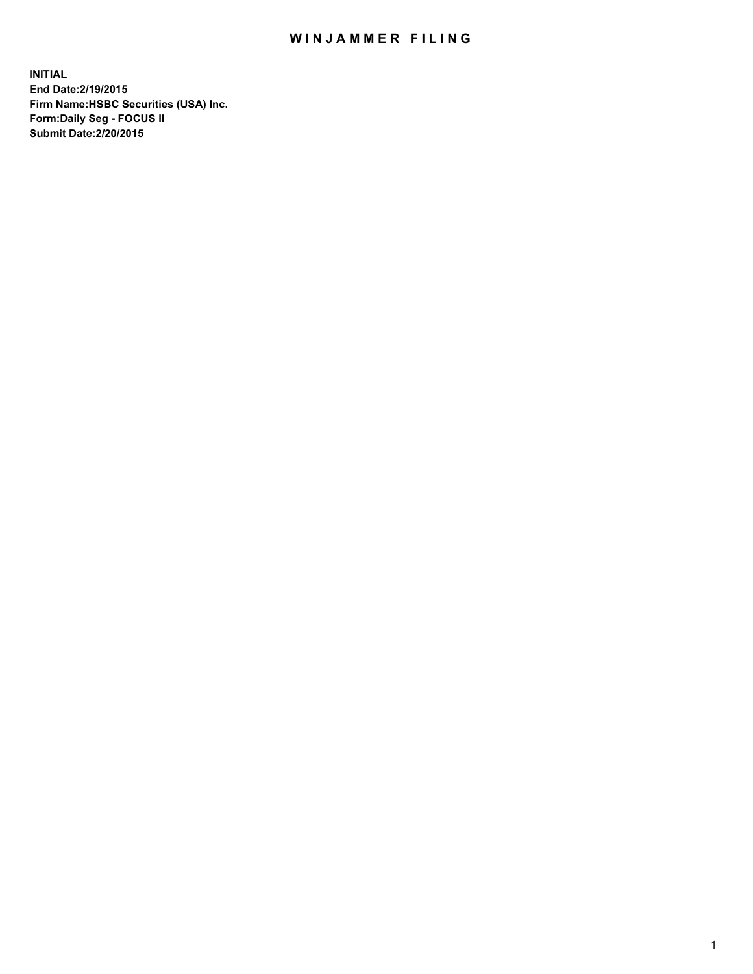## WIN JAMMER FILING

**INITIAL End Date:2/19/2015 Firm Name:HSBC Securities (USA) Inc. Form:Daily Seg - FOCUS II Submit Date:2/20/2015**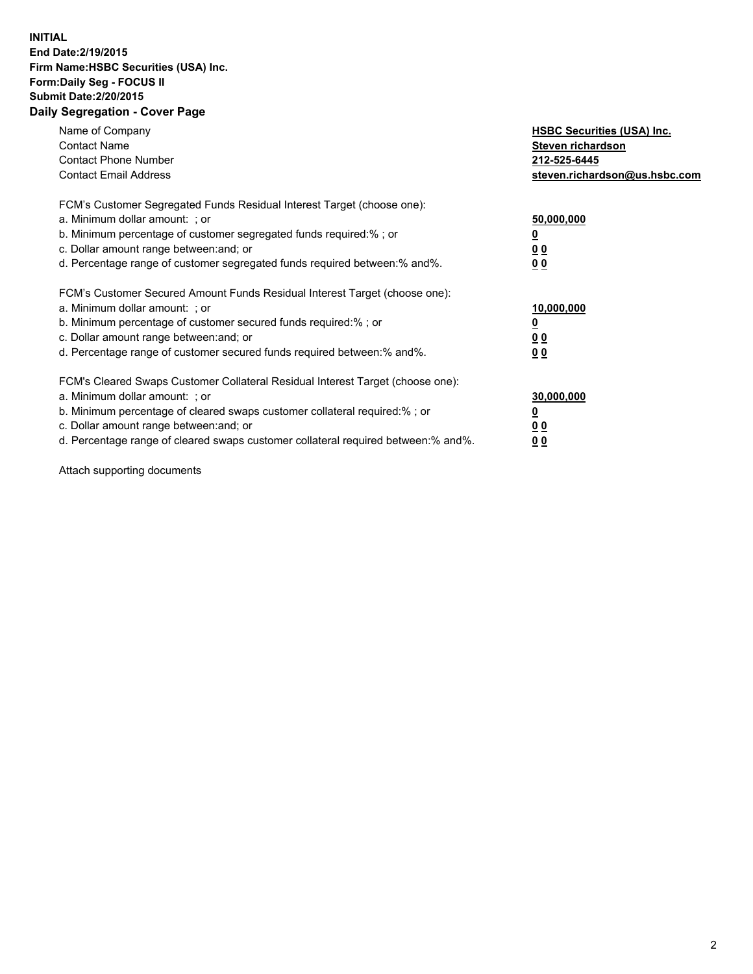## **INITIAL End Date:2/19/2015 Firm Name:HSBC Securities (USA) Inc. Form:Daily Seg - FOCUS II Submit Date:2/20/2015 Daily Segregation - Cover Page**

| Name of Company<br><b>Contact Name</b><br><b>Contact Phone Number</b><br><b>Contact Email Address</b>                                                                                                                                                                                                                         | <b>HSBC Securities (USA) Inc.</b><br>Steven richardson<br>212-525-6445<br>steven.richardson@us.hsbc.com |
|-------------------------------------------------------------------------------------------------------------------------------------------------------------------------------------------------------------------------------------------------------------------------------------------------------------------------------|---------------------------------------------------------------------------------------------------------|
| FCM's Customer Segregated Funds Residual Interest Target (choose one):<br>a. Minimum dollar amount: ; or<br>b. Minimum percentage of customer segregated funds required:%; or<br>c. Dollar amount range between: and; or<br>d. Percentage range of customer segregated funds required between:% and%.                         | 50,000,000<br>00<br>0 <sub>0</sub>                                                                      |
| FCM's Customer Secured Amount Funds Residual Interest Target (choose one):<br>a. Minimum dollar amount: ; or<br>b. Minimum percentage of customer secured funds required:%; or<br>c. Dollar amount range between: and; or<br>d. Percentage range of customer secured funds required between:% and%.                           | 10,000,000<br>0 <sub>0</sub><br>00                                                                      |
| FCM's Cleared Swaps Customer Collateral Residual Interest Target (choose one):<br>a. Minimum dollar amount: ; or<br>b. Minimum percentage of cleared swaps customer collateral required:%; or<br>c. Dollar amount range between: and; or<br>d. Percentage range of cleared swaps customer collateral required between:% and%. | 30,000,000<br><u>00</u><br><u>00</u>                                                                    |

Attach supporting documents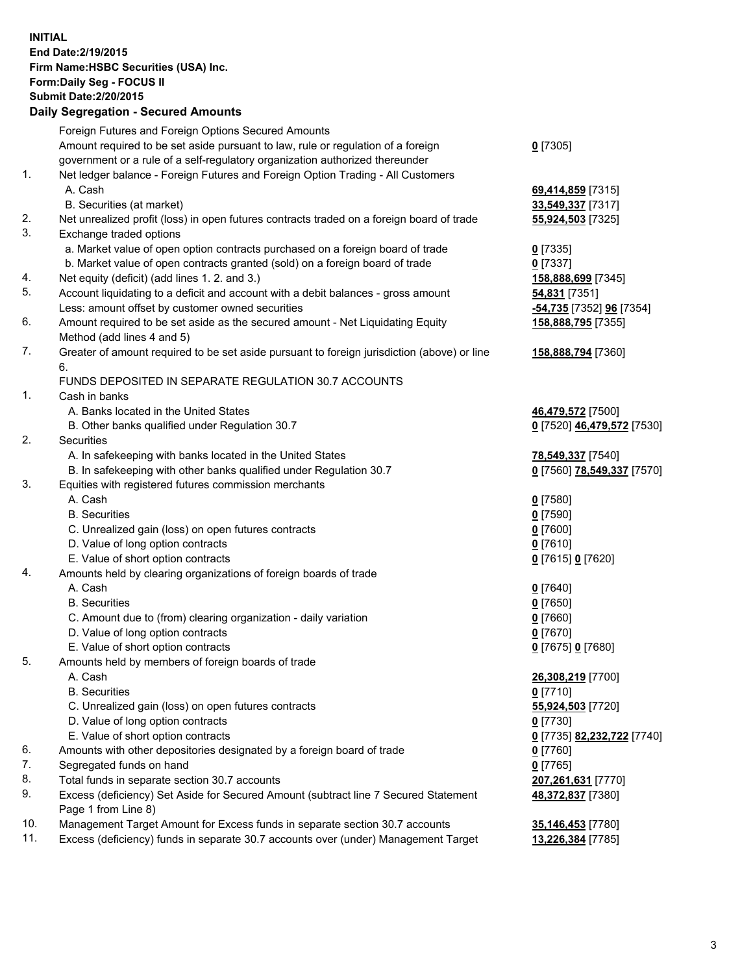**INITIAL End Date:2/19/2015 Firm Name:HSBC Securities (USA) Inc. Form:Daily Seg - FOCUS II Submit Date:2/20/2015 Daily Segregation - Secured Amounts**

Foreign Futures and Foreign Options Secured Amounts Amount required to be set aside pursuant to law, rule or regulation of a foreign government or a rule of a self-regulatory organization authorized thereunder **0** [7305] 1. Net ledger balance - Foreign Futures and Foreign Option Trading - All Customers A. Cash **69,414,859** [7315] B. Securities (at market) **33,549,337** [7317] 2. Net unrealized profit (loss) in open futures contracts traded on a foreign board of trade **55,924,503** [7325] 3. Exchange traded options a. Market value of open option contracts purchased on a foreign board of trade **0** [7335] b. Market value of open contracts granted (sold) on a foreign board of trade **0** [7337] 4. Net equity (deficit) (add lines 1. 2. and 3.) **158,888,699** [7345] 5. Account liquidating to a deficit and account with a debit balances - gross amount **54,831** [7351] Less: amount offset by customer owned securities **-54,735** [7352] **96** [7354] 6. Amount required to be set aside as the secured amount - Net Liquidating Equity Method (add lines 4 and 5) **158,888,795** [7355] 7. Greater of amount required to be set aside pursuant to foreign jurisdiction (above) or line 6. **158,888,794** [7360] FUNDS DEPOSITED IN SEPARATE REGULATION 30.7 ACCOUNTS 1. Cash in banks A. Banks located in the United States **46,479,572** [7500] B. Other banks qualified under Regulation 30.7 **0** [7520] **46,479,572** [7530] 2. Securities A. In safekeeping with banks located in the United States **78,549,337** [7540] B. In safekeeping with other banks qualified under Regulation 30.7 **0** [7560] **78,549,337** [7570] 3. Equities with registered futures commission merchants A. Cash **0** [7580] B. Securities **0** [7590] C. Unrealized gain (loss) on open futures contracts **0** [7600] D. Value of long option contracts **0** [7610] E. Value of short option contracts **0** [7615] **0** [7620] 4. Amounts held by clearing organizations of foreign boards of trade A. Cash **0** [7640] B. Securities **0** [7650] C. Amount due to (from) clearing organization - daily variation **0** [7660] D. Value of long option contracts **0** [7670] E. Value of short option contracts **0** [7675] **0** [7680] 5. Amounts held by members of foreign boards of trade A. Cash **26,308,219** [7700] B. Securities **0** [7710] C. Unrealized gain (loss) on open futures contracts **55,924,503** [7720] D. Value of long option contracts **0** [7730] E. Value of short option contracts **0** [7735] **82,232,722** [7740] 6. Amounts with other depositories designated by a foreign board of trade **0** [7760] 7. Segregated funds on hand **0** [7765] 8. Total funds in separate section 30.7 accounts **207,261,631** [7770] 9. Excess (deficiency) Set Aside for Secured Amount (subtract line 7 Secured Statement Page 1 from Line 8) **48,372,837** [7380] 10. Management Target Amount for Excess funds in separate section 30.7 accounts **35,146,453** [7780] 11. Excess (deficiency) funds in separate 30.7 accounts over (under) Management Target **13,226,384** [7785]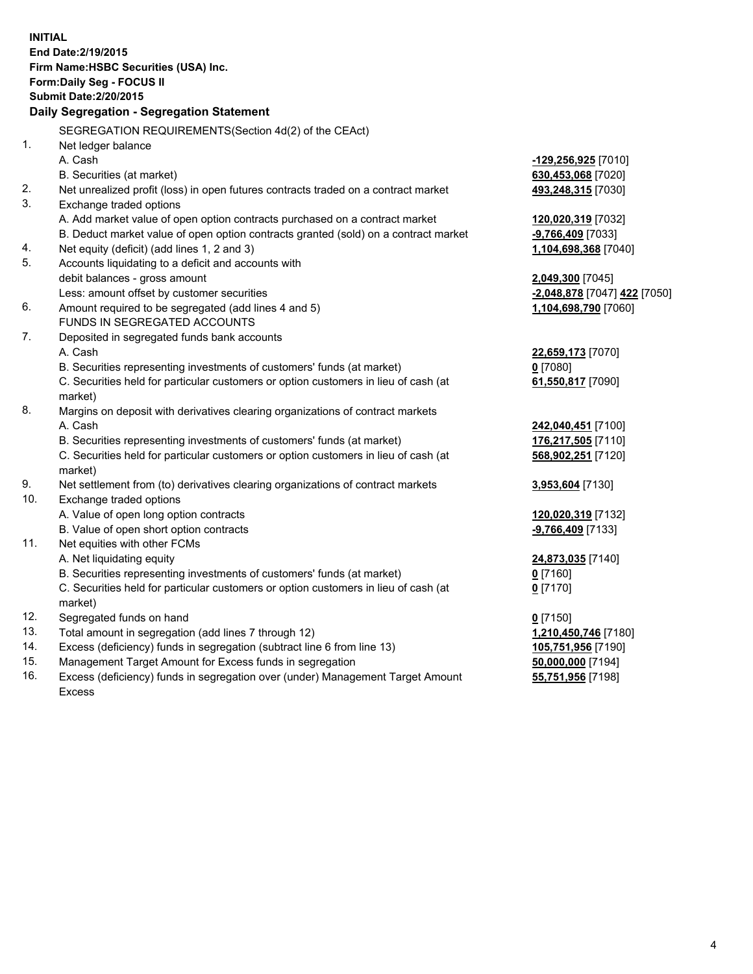| <b>INITIAL</b>                            |                                                                                                |                              |  |  |
|-------------------------------------------|------------------------------------------------------------------------------------------------|------------------------------|--|--|
|                                           | End Date: 2/19/2015                                                                            |                              |  |  |
|                                           | Firm Name: HSBC Securities (USA) Inc.                                                          |                              |  |  |
|                                           | Form: Daily Seg - FOCUS II                                                                     |                              |  |  |
|                                           | <b>Submit Date: 2/20/2015</b>                                                                  |                              |  |  |
| Daily Segregation - Segregation Statement |                                                                                                |                              |  |  |
|                                           | SEGREGATION REQUIREMENTS(Section 4d(2) of the CEAct)                                           |                              |  |  |
| 1.                                        | Net ledger balance                                                                             |                              |  |  |
|                                           | A. Cash                                                                                        | $-129,256,925$ [7010]        |  |  |
|                                           | B. Securities (at market)                                                                      | 630,453,068 [7020]           |  |  |
| 2.                                        | Net unrealized profit (loss) in open futures contracts traded on a contract market             | 493,248,315 [7030]           |  |  |
| 3.                                        | Exchange traded options                                                                        |                              |  |  |
|                                           | A. Add market value of open option contracts purchased on a contract market                    | 120,020,319 [7032]           |  |  |
|                                           | B. Deduct market value of open option contracts granted (sold) on a contract market            | -9,766,409 [7033]            |  |  |
| 4.                                        | Net equity (deficit) (add lines 1, 2 and 3)                                                    | 1,104,698,368 [7040]         |  |  |
| 5.                                        | Accounts liquidating to a deficit and accounts with                                            |                              |  |  |
|                                           | debit balances - gross amount                                                                  | 2,049,300 [7045]             |  |  |
|                                           | Less: amount offset by customer securities                                                     | -2,048,878 [7047] 422 [7050] |  |  |
| 6.                                        | Amount required to be segregated (add lines 4 and 5)                                           | 1,104,698,790 [7060]         |  |  |
|                                           | FUNDS IN SEGREGATED ACCOUNTS                                                                   |                              |  |  |
| 7.                                        | Deposited in segregated funds bank accounts                                                    |                              |  |  |
|                                           | A. Cash                                                                                        | 22,659,173 [7070]            |  |  |
|                                           | B. Securities representing investments of customers' funds (at market)                         | $0$ [7080]                   |  |  |
|                                           | C. Securities held for particular customers or option customers in lieu of cash (at<br>market) | 61,550,817 [7090]            |  |  |
| 8.                                        | Margins on deposit with derivatives clearing organizations of contract markets                 |                              |  |  |
|                                           | A. Cash                                                                                        | 242,040,451 [7100]           |  |  |
|                                           | B. Securities representing investments of customers' funds (at market)                         | 176,217,505 [7110]           |  |  |
|                                           | C. Securities held for particular customers or option customers in lieu of cash (at            | 568,902,251 [7120]           |  |  |
|                                           | market)                                                                                        |                              |  |  |
| 9.                                        | Net settlement from (to) derivatives clearing organizations of contract markets                | 3,953,604 [7130]             |  |  |
| 10.                                       | Exchange traded options                                                                        |                              |  |  |
|                                           | A. Value of open long option contracts                                                         | 120,020,319 [7132]           |  |  |
|                                           | B. Value of open short option contracts                                                        | $-9,766,409$ [7133]          |  |  |
| 11.                                       | Net equities with other FCMs                                                                   |                              |  |  |
|                                           | A. Net liquidating equity                                                                      | 24,873,035 [7140]            |  |  |
|                                           | B. Securities representing investments of customers' funds (at market)                         | 0 <sup>[7160]</sup>          |  |  |
|                                           | C. Securities held for particular customers or option customers in lieu of cash (at            | $0$ [7170]                   |  |  |
|                                           | market)                                                                                        |                              |  |  |
| 12.                                       | Segregated funds on hand                                                                       | $0$ [7150]                   |  |  |
| 13.                                       | Total amount in segregation (add lines 7 through 12)                                           | 1,210,450,746 [7180]         |  |  |
| 14.                                       | Excess (deficiency) funds in segregation (subtract line 6 from line 13)                        | 105,751,956 [7190]           |  |  |
| 15.                                       | Management Target Amount for Excess funds in segregation                                       | 50,000,000 [7194]            |  |  |

16. Excess (deficiency) funds in segregation over (under) Management Target Amount Excess

**55,751,956** [7198]